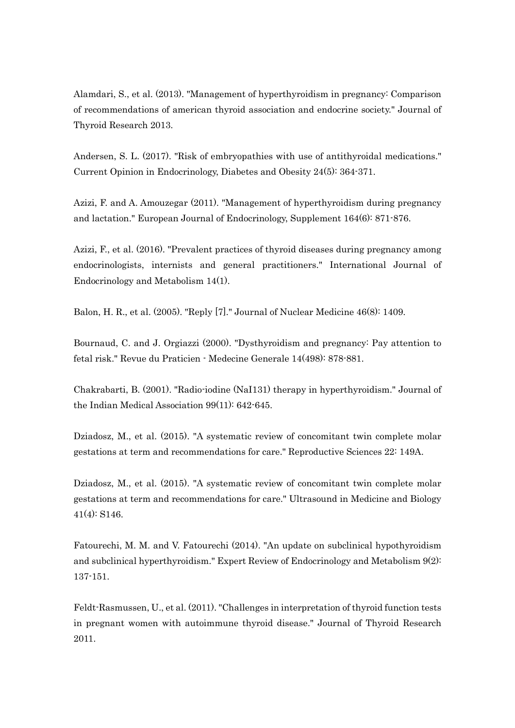Alamdari, S., et al. (2013). "Management of hyperthyroidism in pregnancy: Comparison of recommendations of american thyroid association and endocrine society." Journal of Thyroid Research 2013.

Andersen, S. L. (2017). "Risk of embryopathies with use of antithyroidal medications." Current Opinion in Endocrinology, Diabetes and Obesity 24(5): 364-371.

Azizi, F. and A. Amouzegar (2011). "Management of hyperthyroidism during pregnancy and lactation." European Journal of Endocrinology, Supplement 164(6): 871-876.

Azizi, F., et al. (2016). "Prevalent practices of thyroid diseases during pregnancy among endocrinologists, internists and general practitioners." International Journal of Endocrinology and Metabolism 14(1).

Balon, H. R., et al. (2005). "Reply [7]." Journal of Nuclear Medicine 46(8): 1409.

Bournaud, C. and J. Orgiazzi (2000). "Dysthyroidism and pregnancy: Pay attention to fetal risk." Revue du Praticien - Medecine Generale 14(498): 878-881.

Chakrabarti, B. (2001). "Radio-iodine (NaI131) therapy in hyperthyroidism." Journal of the Indian Medical Association 99(11): 642-645.

Dziadosz, M., et al. (2015). "A systematic review of concomitant twin complete molar gestations at term and recommendations for care." Reproductive Sciences 22: 149A.

Dziadosz, M., et al. (2015). "A systematic review of concomitant twin complete molar gestations at term and recommendations for care." Ultrasound in Medicine and Biology 41(4): S146.

Fatourechi, M. M. and V. Fatourechi (2014). "An update on subclinical hypothyroidism and subclinical hyperthyroidism." Expert Review of Endocrinology and Metabolism 9(2): 137-151.

Feldt-Rasmussen, U., et al. (2011). "Challenges in interpretation of thyroid function tests in pregnant women with autoimmune thyroid disease." Journal of Thyroid Research 2011.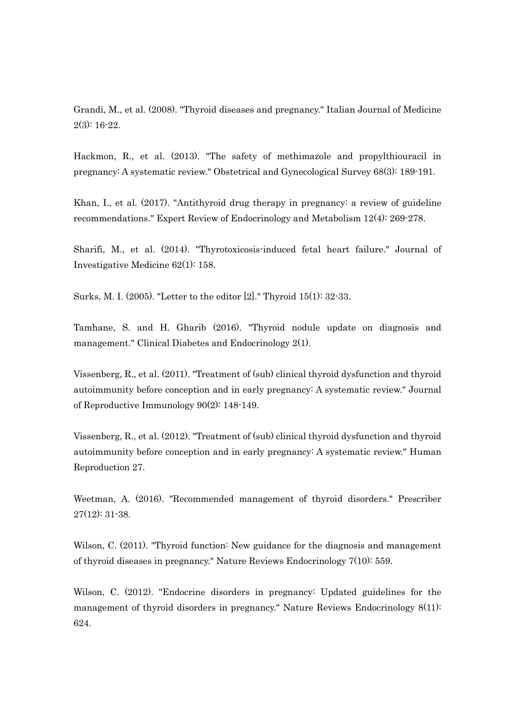Grandi, M., et al. (2008). "Thyroid diseases and pregnancy." Italian Journal of Medicine 2(3): 16-22.

Hackmon, R., et al. (2013). "The safety of methimazole and propylthiouracil in pregnancy: A systematic review." Obstetrical and Gynecological Survey 68(3): 189-191.

Khan, I., et al. (2017). "Antithyroid drug therapy in pregnancy: a review of guideline recommendations." Expert Review of Endocrinology and Metabolism 12(4): 269-278.

Sharifi, M., et al. (2014). "Thyrotoxicosis-induced fetal heart failure." Journal of Investigative Medicine 62(1): 158.

Surks, M. I. (2005). "Letter to the editor [2]." Thyroid 15(1): 32-33.

Tamhane, S. and H. Gharib (2016). "Thyroid nodule update on diagnosis and management." Clinical Diabetes and Endocrinology 2(1).

Vissenberg, R., et al. (2011). "Treatment of (sub) clinical thyroid dysfunction and thyroid autoimmunity before conception and in early pregnancy: A systematic review." Journal of Reproductive Immunology 90(2): 148-149.

Vissenberg, R., et al. (2012). "Treatment of (sub) clinical thyroid dysfunction and thyroid autoimmunity before conception and in early pregnancy: A systematic review." Human Reproduction 27.

Weetman, A. (2016). "Recommended management of thyroid disorders." Prescriber 27(12): 31-38.

Wilson, C. (2011). "Thyroid function: New guidance for the diagnosis and management of thyroid diseases in pregnancy." Nature Reviews Endocrinology 7(10): 559.

Wilson, C. (2012). "Endocrine disorders in pregnancy: Updated guidelines for the management of thyroid disorders in pregnancy." Nature Reviews Endocrinology 8(11): 624.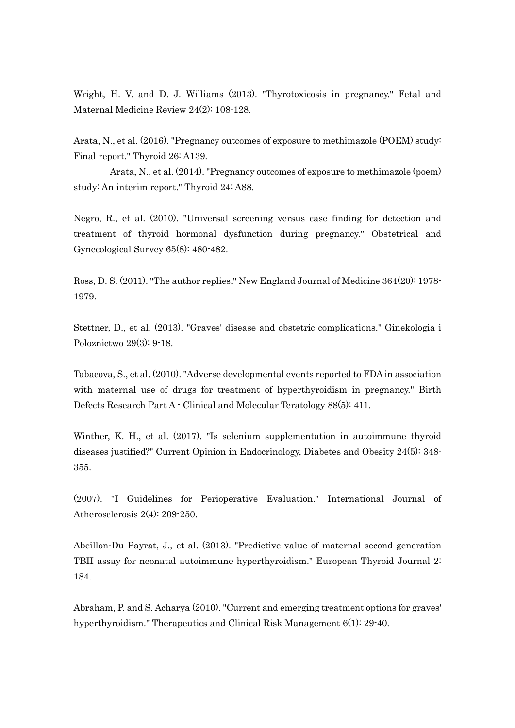Wright, H. V. and D. J. Williams (2013). "Thyrotoxicosis in pregnancy." Fetal and Maternal Medicine Review 24(2): 108-128.

Arata, N., et al. (2016). "Pregnancy outcomes of exposure to methimazole (POEM) study: Final report." Thyroid 26: A139.

Arata, N., et al. (2014). "Pregnancy outcomes of exposure to methimazole (poem) study: An interim report." Thyroid 24: A88.

Negro, R., et al. (2010). "Universal screening versus case finding for detection and treatment of thyroid hormonal dysfunction during pregnancy." Obstetrical and Gynecological Survey 65(8): 480-482.

Ross, D. S. (2011). "The author replies." New England Journal of Medicine 364(20): 1978- 1979.

Stettner, D., et al. (2013). "Graves' disease and obstetric complications." Ginekologia i Poloznictwo 29(3): 9-18.

Tabacova, S., et al. (2010). "Adverse developmental events reported to FDA in association with maternal use of drugs for treatment of hyperthyroidism in pregnancy." Birth Defects Research Part A - Clinical and Molecular Teratology 88(5): 411.

Winther, K. H., et al. (2017). "Is selenium supplementation in autoimmune thyroid diseases justified?" Current Opinion in Endocrinology, Diabetes and Obesity 24(5): 348- 355.

(2007). "I Guidelines for Perioperative Evaluation." International Journal of Atherosclerosis 2(4): 209-250.

Abeillon-Du Payrat, J., et al. (2013). "Predictive value of maternal second generation TBII assay for neonatal autoimmune hyperthyroidism." European Thyroid Journal 2: 184.

Abraham, P. and S. Acharya (2010). "Current and emerging treatment options for graves' hyperthyroidism." Therapeutics and Clinical Risk Management 6(1): 29-40.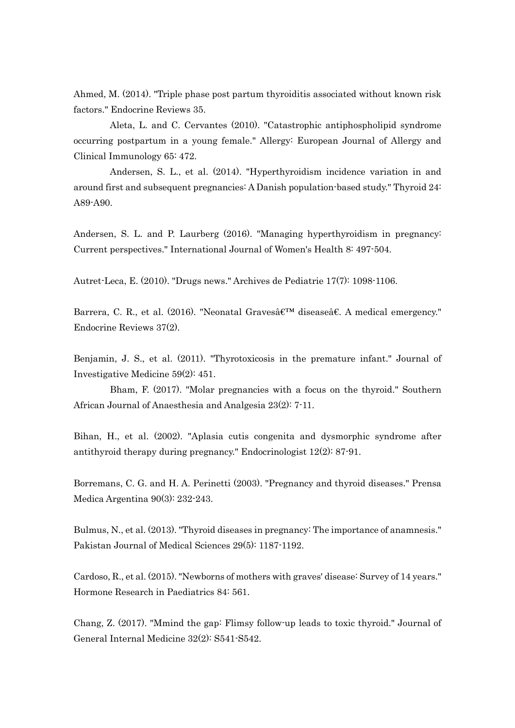Ahmed, M. (2014). "Triple phase post partum thyroiditis associated without known risk factors." Endocrine Reviews 35.

Aleta, L. and C. Cervantes (2010). "Catastrophic antiphospholipid syndrome occurring postpartum in a young female." Allergy: European Journal of Allergy and Clinical Immunology 65: 472.

Andersen, S. L., et al. (2014). "Hyperthyroidism incidence variation in and around first and subsequent pregnancies: A Danish population-based study." Thyroid 24: A89-A90.

Andersen, S. L. and P. Laurberg (2016). "Managing hyperthyroidism in pregnancy: Current perspectives." International Journal of Women's Health 8: 497-504.

Autret-Leca, E. (2010). "Drugs news." Archives de Pediatrie 17(7): 1098-1106.

Barrera, C. R., et al. (2016). "Neonatal Graves' diseaseâ€. A medical emergency." Endocrine Reviews 37(2).

Benjamin, J. S., et al. (2011). "Thyrotoxicosis in the premature infant." Journal of Investigative Medicine 59(2): 451.

Bham, F. (2017). "Molar pregnancies with a focus on the thyroid." Southern African Journal of Anaesthesia and Analgesia 23(2): 7-11.

Bihan, H., et al. (2002). "Aplasia cutis congenita and dysmorphic syndrome after antithyroid therapy during pregnancy." Endocrinologist 12(2): 87-91.

Borremans, C. G. and H. A. Perinetti (2003). "Pregnancy and thyroid diseases." Prensa Medica Argentina 90(3): 232-243.

Bulmus, N., et al. (2013). "Thyroid diseases in pregnancy: The importance of anamnesis." Pakistan Journal of Medical Sciences 29(5): 1187-1192.

Cardoso, R., et al. (2015). "Newborns of mothers with graves' disease: Survey of 14 years." Hormone Research in Paediatrics 84: 561.

Chang, Z. (2017). "Mmind the gap: Flimsy follow-up leads to toxic thyroid." Journal of General Internal Medicine 32(2): S541-S542.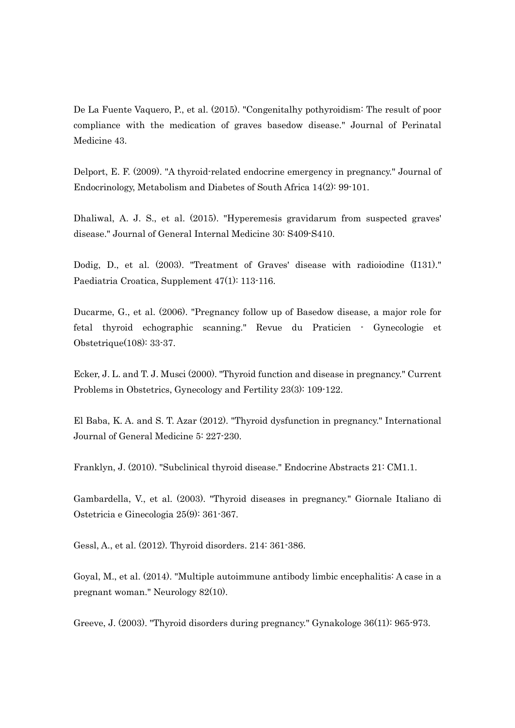De La Fuente Vaquero, P., et al. (2015). "Congenitalhy pothyroidism: The result of poor compliance with the medication of graves basedow disease." Journal of Perinatal Medicine 43.

Delport, E. F. (2009). "A thyroid-related endocrine emergency in pregnancy." Journal of Endocrinology, Metabolism and Diabetes of South Africa 14(2): 99-101.

Dhaliwal, A. J. S., et al. (2015). "Hyperemesis gravidarum from suspected graves' disease." Journal of General Internal Medicine 30: S409-S410.

Dodig, D., et al. (2003). "Treatment of Graves' disease with radioiodine (I131)." Paediatria Croatica, Supplement 47(1): 113-116.

Ducarme, G., et al. (2006). "Pregnancy follow up of Basedow disease, a major role for fetal thyroid echographic scanning." Revue du Praticien - Gynecologie et Obstetrique(108): 33-37.

Ecker, J. L. and T. J. Musci (2000). "Thyroid function and disease in pregnancy." Current Problems in Obstetrics, Gynecology and Fertility 23(3): 109-122.

El Baba, K. A. and S. T. Azar (2012). "Thyroid dysfunction in pregnancy." International Journal of General Medicine 5: 227-230.

Franklyn, J. (2010). "Subclinical thyroid disease." Endocrine Abstracts 21: CM1.1.

Gambardella, V., et al. (2003). "Thyroid diseases in pregnancy." Giornale Italiano di Ostetricia e Ginecologia 25(9): 361-367.

Gessl, A., et al. (2012). Thyroid disorders. 214: 361-386.

Goyal, M., et al. (2014). "Multiple autoimmune antibody limbic encephalitis: A case in a pregnant woman." Neurology 82(10).

Greeve, J. (2003). "Thyroid disorders during pregnancy." Gynakologe 36(11): 965-973.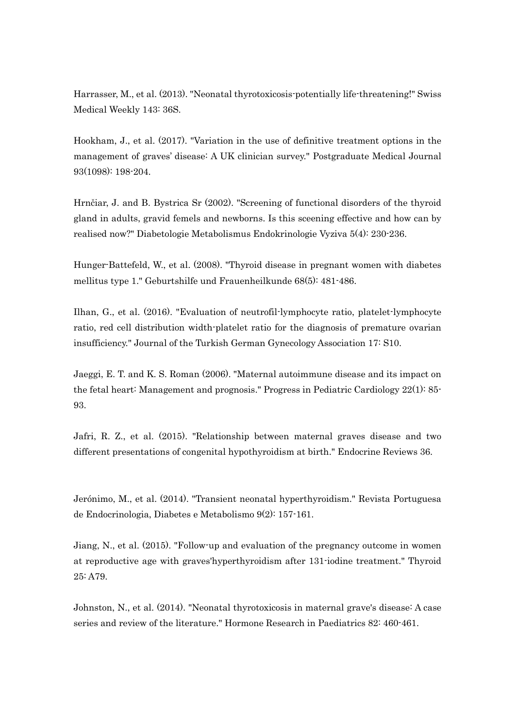Harrasser, M., et al. (2013). "Neonatal thyrotoxicosis-potentially life-threatening!" Swiss Medical Weekly 143: 36S.

Hookham, J., et al. (2017). "Variation in the use of definitive treatment options in the management of graves' disease: A UK clinician survey." Postgraduate Medical Journal 93(1098): 198-204.

Hrnčiar, J. and B. Bystrica Sr (2002). "Screening of functional disorders of the thyroid gland in adults, gravid femels and newborns. Is this sceening effective and how can by realised now?" Diabetologie Metabolismus Endokrinologie Vyziva 5(4): 230-236.

Hunger-Battefeld, W., et al. (2008). "Thyroid disease in pregnant women with diabetes mellitus type 1." Geburtshilfe und Frauenheilkunde 68(5): 481-486.

Ilhan, G., et al. (2016). "Evaluation of neutrofil-lymphocyte ratio, platelet-lymphocyte ratio, red cell distribution width-platelet ratio for the diagnosis of premature ovarian insufficiency." Journal of the Turkish German Gynecology Association 17: S10.

Jaeggi, E. T. and K. S. Roman (2006). "Maternal autoimmune disease and its impact on the fetal heart: Management and prognosis." Progress in Pediatric Cardiology 22(1): 85- 93.

Jafri, R. Z., et al. (2015). "Relationship between maternal graves disease and two different presentations of congenital hypothyroidism at birth." Endocrine Reviews 36.

Jerónimo, M., et al. (2014). "Transient neonatal hyperthyroidism." Revista Portuguesa de Endocrinologia, Diabetes e Metabolismo 9(2): 157-161.

Jiang, N., et al. (2015). "Follow-up and evaluation of the pregnancy outcome in women at reproductive age with graves'hyperthyroidism after 131-iodine treatment." Thyroid 25: A79.

Johnston, N., et al. (2014). "Neonatal thyrotoxicosis in maternal grave's disease: A case series and review of the literature." Hormone Research in Paediatrics 82: 460-461.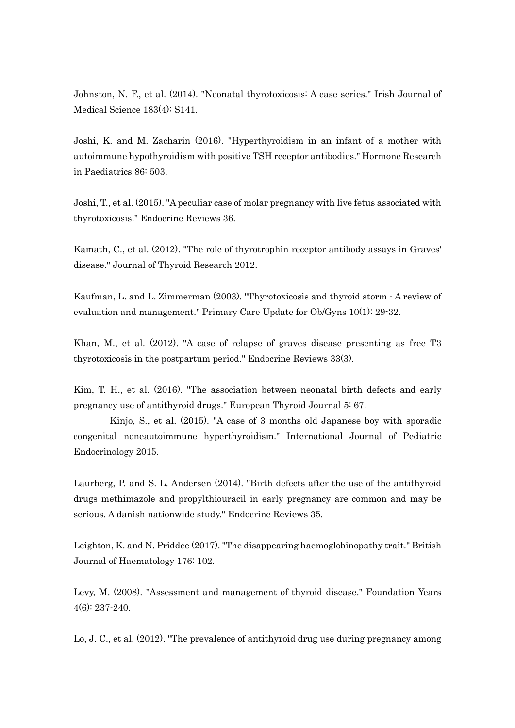Johnston, N. F., et al. (2014). "Neonatal thyrotoxicosis: A case series." Irish Journal of Medical Science 183(4): S141.

Joshi, K. and M. Zacharin (2016). "Hyperthyroidism in an infant of a mother with autoimmune hypothyroidism with positive TSH receptor antibodies." Hormone Research in Paediatrics 86: 503.

Joshi, T., et al. (2015). "A peculiar case of molar pregnancy with live fetus associated with thyrotoxicosis." Endocrine Reviews 36.

Kamath, C., et al. (2012). "The role of thyrotrophin receptor antibody assays in Graves' disease." Journal of Thyroid Research 2012.

Kaufman, L. and L. Zimmerman (2003). "Thyrotoxicosis and thyroid storm - A review of evaluation and management." Primary Care Update for Ob/Gyns 10(1): 29-32.

Khan, M., et al. (2012). "A case of relapse of graves disease presenting as free T3 thyrotoxicosis in the postpartum period." Endocrine Reviews 33(3).

Kim, T. H., et al. (2016). "The association between neonatal birth defects and early pregnancy use of antithyroid drugs." European Thyroid Journal 5: 67.

Kinjo, S., et al. (2015). "A case of 3 months old Japanese boy with sporadic congenital noneautoimmune hyperthyroidism." International Journal of Pediatric Endocrinology 2015.

Laurberg, P. and S. L. Andersen (2014). "Birth defects after the use of the antithyroid drugs methimazole and propylthiouracil in early pregnancy are common and may be serious. A danish nationwide study." Endocrine Reviews 35.

Leighton, K. and N. Priddee (2017). "The disappearing haemoglobinopathy trait." British Journal of Haematology 176: 102.

Levy, M. (2008). "Assessment and management of thyroid disease." Foundation Years 4(6): 237-240.

Lo, J. C., et al. (2012). "The prevalence of antithyroid drug use during pregnancy among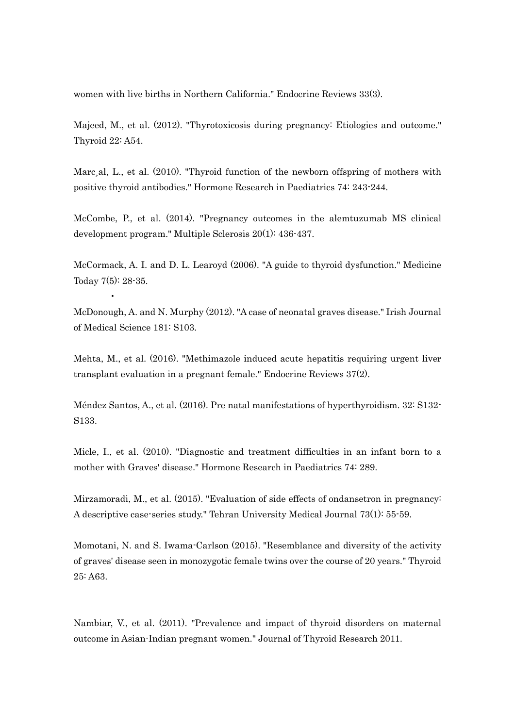women with live births in Northern California." Endocrine Reviews 33(3).

Majeed, M., et al. (2012). "Thyrotoxicosis during pregnancy: Etiologies and outcome." Thyroid 22: A54.

Marc, al, L., et al. (2010). "Thyroid function of the newborn offspring of mothers with positive thyroid antibodies." Hormone Research in Paediatrics 74: 243-244.

McCombe, P., et al. (2014). "Pregnancy outcomes in the alemtuzumab MS clinical development program." Multiple Sclerosis 20(1): 436-437.

McCormack, A. I. and D. L. Learoyd (2006). "A guide to thyroid dysfunction." Medicine Today 7(5): 28-35.

McDonough, A. and N. Murphy (2012). "A case of neonatal graves disease." Irish Journal of Medical Science 181: S103.

•

Mehta, M., et al. (2016). "Methimazole induced acute hepatitis requiring urgent liver transplant evaluation in a pregnant female." Endocrine Reviews 37(2).

Méndez Santos, A., et al. (2016). Pre natal manifestations of hyperthyroidism. 32: S132- S133.

Micle, I., et al. (2010). "Diagnostic and treatment difficulties in an infant born to a mother with Graves' disease." Hormone Research in Paediatrics 74: 289.

Mirzamoradi, M., et al. (2015). "Evaluation of side effects of ondansetron in pregnancy: A descriptive case-series study." Tehran University Medical Journal 73(1): 55-59.

Momotani, N. and S. Iwama-Carlson (2015). "Resemblance and diversity of the activity of graves' disease seen in monozygotic female twins over the course of 20 years." Thyroid 25: A63.

Nambiar, V., et al. (2011). "Prevalence and impact of thyroid disorders on maternal outcome in Asian-Indian pregnant women." Journal of Thyroid Research 2011.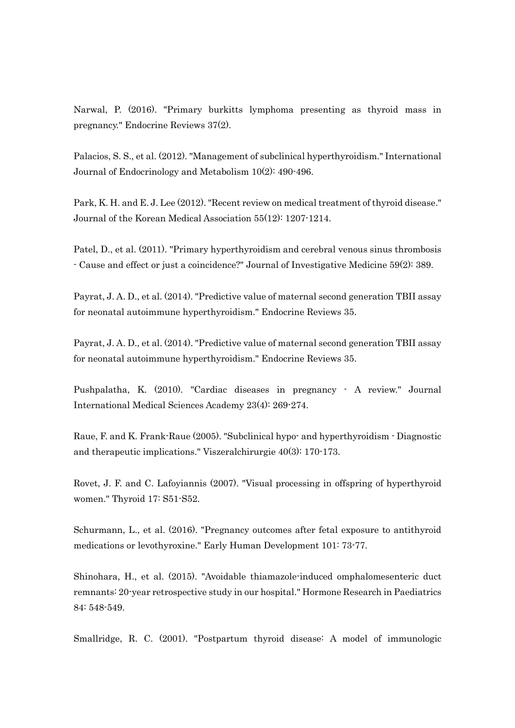Narwal, P. (2016). "Primary burkitts lymphoma presenting as thyroid mass in pregnancy." Endocrine Reviews 37(2).

Palacios, S. S., et al. (2012). "Management of subclinical hyperthyroidism." International Journal of Endocrinology and Metabolism 10(2): 490-496.

Park, K. H. and E. J. Lee (2012). "Recent review on medical treatment of thyroid disease." Journal of the Korean Medical Association 55(12): 1207-1214.

Patel, D., et al. (2011). "Primary hyperthyroidism and cerebral venous sinus thrombosis - Cause and effect or just a coincidence?" Journal of Investigative Medicine 59(2): 389.

Payrat, J. A. D., et al. (2014). "Predictive value of maternal second generation TBII assay for neonatal autoimmune hyperthyroidism." Endocrine Reviews 35.

Payrat, J. A. D., et al. (2014). "Predictive value of maternal second generation TBII assay for neonatal autoimmune hyperthyroidism." Endocrine Reviews 35.

Pushpalatha, K. (2010). "Cardiac diseases in pregnancy - A review." Journal International Medical Sciences Academy 23(4): 269-274.

Raue, F. and K. Frank-Raue (2005). "Subclinical hypo- and hyperthyroidism - Diagnostic and therapeutic implications." Viszeralchirurgie 40(3): 170-173.

Rovet, J. F. and C. Lafoyiannis (2007). "Visual processing in offspring of hyperthyroid women." Thyroid 17: S51-S52.

Schurmann, L., et al. (2016). "Pregnancy outcomes after fetal exposure to antithyroid medications or levothyroxine." Early Human Development 101: 73-77.

Shinohara, H., et al. (2015). "Avoidable thiamazole-induced omphalomesenteric duct remnants: 20-year retrospective study in our hospital." Hormone Research in Paediatrics 84: 548-549.

Smallridge, R. C. (2001). "Postpartum thyroid disease: A model of immunologic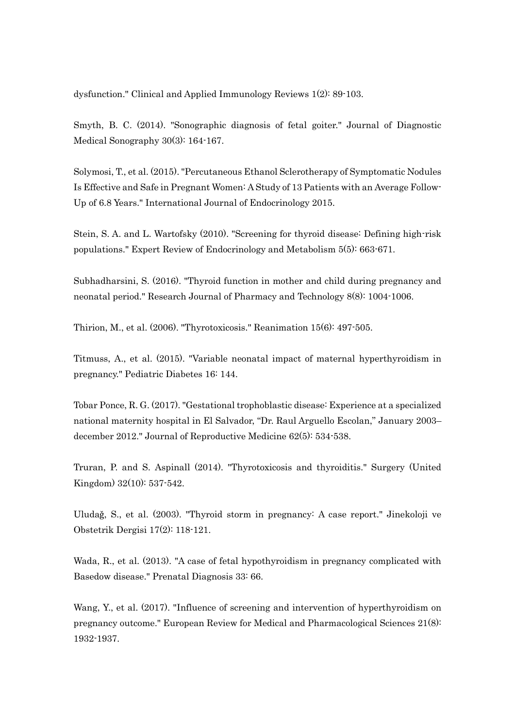dysfunction." Clinical and Applied Immunology Reviews 1(2): 89-103.

Smyth, B. C. (2014). "Sonographic diagnosis of fetal goiter." Journal of Diagnostic Medical Sonography 30(3): 164-167.

Solymosi, T., et al. (2015). "Percutaneous Ethanol Sclerotherapy of Symptomatic Nodules Is Effective and Safe in Pregnant Women: A Study of 13 Patients with an Average Follow-Up of 6.8 Years." International Journal of Endocrinology 2015.

Stein, S. A. and L. Wartofsky (2010). "Screening for thyroid disease: Defining high-risk populations." Expert Review of Endocrinology and Metabolism 5(5): 663-671.

Subhadharsini, S. (2016). "Thyroid function in mother and child during pregnancy and neonatal period." Research Journal of Pharmacy and Technology 8(8): 1004-1006.

Thirion, M., et al. (2006). "Thyrotoxicosis." Reanimation 15(6): 497-505.

Titmuss, A., et al. (2015). "Variable neonatal impact of maternal hyperthyroidism in pregnancy." Pediatric Diabetes 16: 144.

Tobar Ponce, R. G. (2017). "Gestational trophoblastic disease: Experience at a specialized national maternity hospital in El Salvador, "Dr. Raul Arguello Escolan," January 2003– december 2012." Journal of Reproductive Medicine 62(5): 534-538.

Truran, P. and S. Aspinall (2014). "Thyrotoxicosis and thyroiditis." Surgery (United Kingdom) 32(10): 537-542.

Uludaǧ, S., et al. (2003). "Thyroid storm in pregnancy: A case report." Jinekoloji ve Obstetrik Dergisi 17(2): 118-121.

Wada, R., et al. (2013). "A case of fetal hypothyroidism in pregnancy complicated with Basedow disease." Prenatal Diagnosis 33: 66.

Wang, Y., et al. (2017). "Influence of screening and intervention of hyperthyroidism on pregnancy outcome." European Review for Medical and Pharmacological Sciences 21(8): 1932-1937.